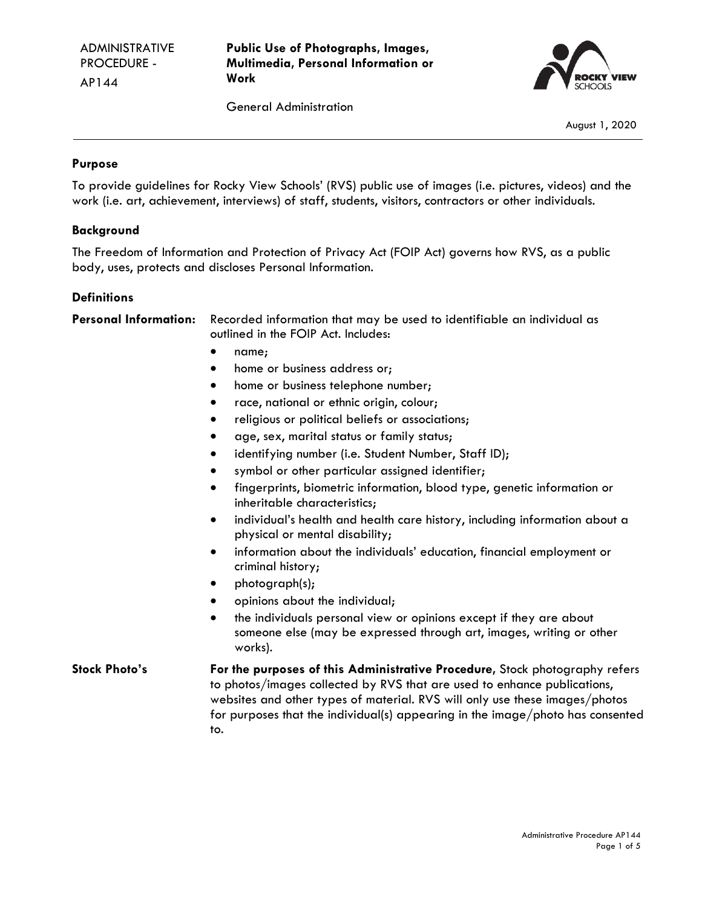**Public Use of Photographs, Images, Multimedia, Personal Information or Work**



General Administration

August 1, 2020

#### **Purpose**

To provide guidelines for Rocky View Schools' (RVS) public use of images (i.e. pictures, videos) and the work (i.e. art, achievement, interviews) of staff, students, visitors, contractors or other individuals.

#### **Background**

The Freedom of Information and Protection of Privacy Act (FOIP Act) governs how RVS, as a public body, uses, protects and discloses Personal Information.

#### **Definitions**

**Personal Information:** Recorded information that may be used to identifiable an individual as outlined in the FOIP Act. Includes:

- name;
- home or business address or;
- home or business telephone number;
- race, national or ethnic origin, colour;
- religious or political beliefs or associations;
- age, sex, marital status or family status;
- identifying number (i.e. Student Number, Staff ID);
- symbol or other particular assigned identifier;
- fingerprints, biometric information, blood type, genetic information or inheritable characteristics;
- individual's health and health care history, including information about a physical or mental disability;
- information about the individuals' education, financial employment or criminal history;
- photograph(s);
- opinions about the individual;
- the individuals personal view or opinions except if they are about someone else (may be expressed through art, images, writing or other works).

**Stock Photo's For the purposes of this Administrative Procedure,** Stock photography refers to photos/images collected by RVS that are used to enhance publications, websites and other types of material. RVS will only use these images/photos for purposes that the individual(s) appearing in the image/photo has consented to.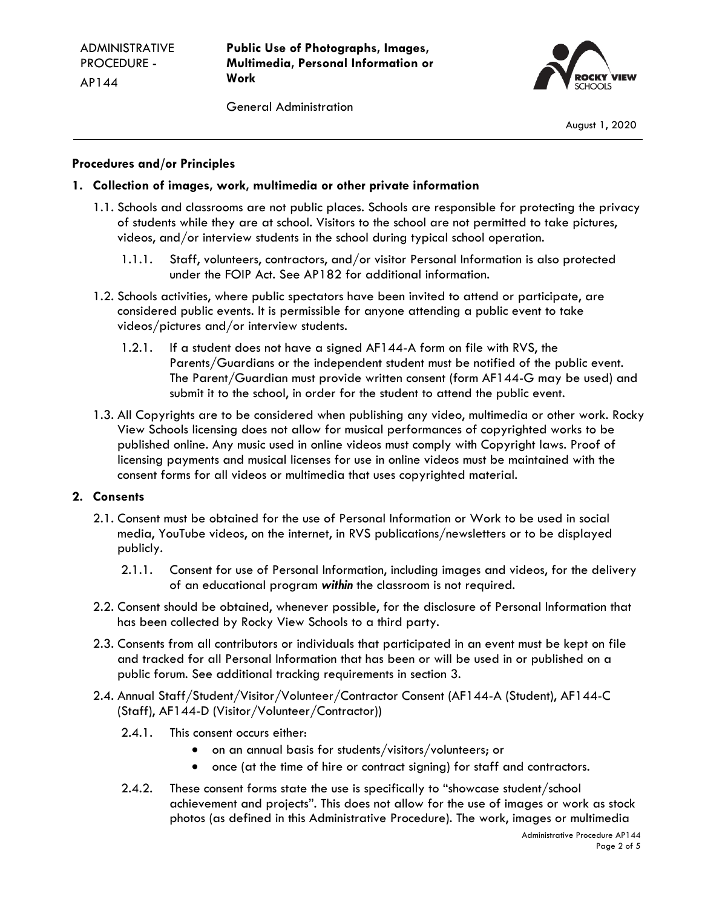**Public Use of Photographs, Images, Multimedia, Personal Information or Work**

General Administration



August 1, 2020

## **Procedures and/or Principles**

## **1. Collection of images, work, multimedia or other private information**

- 1.1. Schools and classrooms are not public places. Schools are responsible for protecting the privacy of students while they are at school. Visitors to the school are not permitted to take pictures, videos, and/or interview students in the school during typical school operation.
	- 1.1.1. Staff, volunteers, contractors, and/or visitor Personal Information is also protected under the FOIP Act. See AP182 for additional information.
- 1.2. Schools activities, where public spectators have been invited to attend or participate, are considered public events. It is permissible for anyone attending a public event to take videos/pictures and/or interview students.
	- 1.2.1. If a student does not have a signed AF144-A form on file with RVS, the Parents/Guardians or the independent student must be notified of the public event. The Parent/Guardian must provide written consent (form AF144-G may be used) and submit it to the school, in order for the student to attend the public event.
- 1.3. All Copyrights are to be considered when publishing any video, multimedia or other work. Rocky View Schools licensing does not allow for musical performances of copyrighted works to be published online. Any music used in online videos must comply with Copyright laws. Proof of licensing payments and musical licenses for use in online videos must be maintained with the consent forms for all videos or multimedia that uses copyrighted material.

#### **2. Consents**

- 2.1. Consent must be obtained for the use of Personal Information or Work to be used in social media, YouTube videos, on the internet, in RVS publications/newsletters or to be displayed publicly.
	- 2.1.1. Consent for use of Personal Information, including images and videos, for the delivery of an educational program *within* the classroom is not required.
- 2.2. Consent should be obtained, whenever possible, for the disclosure of Personal Information that has been collected by Rocky View Schools to a third party.
- 2.3. Consents from all contributors or individuals that participated in an event must be kept on file and tracked for all Personal Information that has been or will be used in or published on a public forum. See additional tracking requirements in section 3.
- 2.4. Annual Staff/Student/Visitor/Volunteer/Contractor Consent (AF144-A (Student), AF144-C (Staff), AF144-D (Visitor/Volunteer/Contractor))
	- 2.4.1. This consent occurs either:
		- on an annual basis for students/visitors/volunteers; or
		- once (at the time of hire or contract signing) for staff and contractors.
	- 2.4.2. These consent forms state the use is specifically to "showcase student/school achievement and projects". This does not allow for the use of images or work as stock photos (as defined in this Administrative Procedure). The work, images or multimedia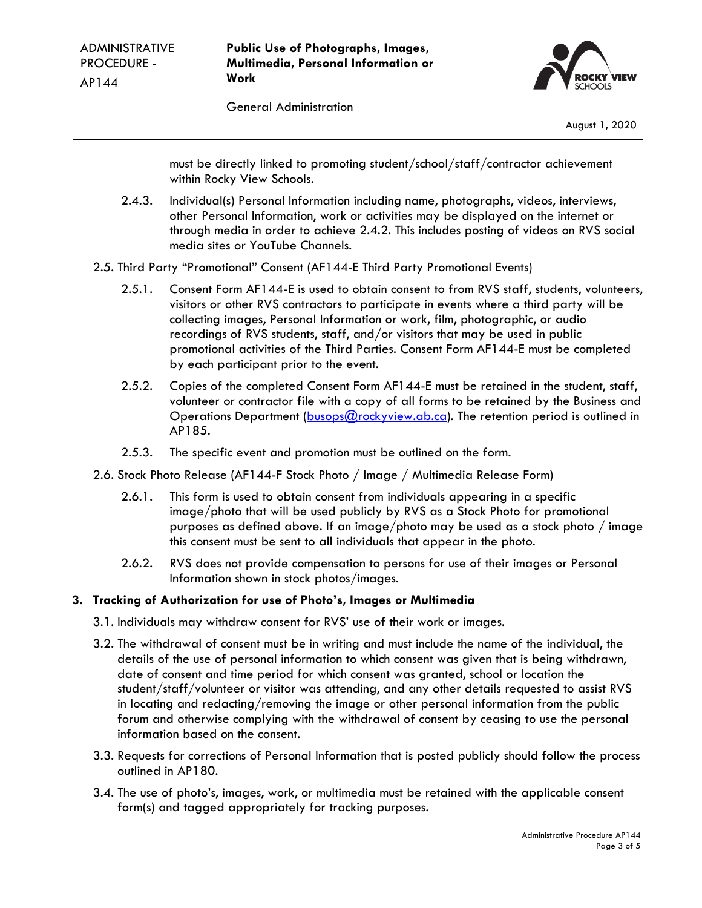**Public Use of Photographs, Images, Multimedia, Personal Information or Work**



General Administration

must be directly linked to promoting student/school/staff/contractor achievement within Rocky View Schools.

- 2.4.3. Individual(s) Personal Information including name, photographs, videos, interviews, other Personal Information, work or activities may be displayed on the internet or through media in order to achieve 2.4.2. This includes posting of videos on RVS social media sites or YouTube Channels.
- 2.5. Third Party "Promotional" Consent (AF144-E Third Party Promotional Events)
	- 2.5.1. Consent Form AF144-E is used to obtain consent to from RVS staff, students, volunteers, visitors or other RVS contractors to participate in events where a third party will be collecting images, Personal Information or work, film, photographic, or audio recordings of RVS students, staff, and/or visitors that may be used in public promotional activities of the Third Parties. Consent Form AF144-E must be completed by each participant prior to the event.
	- 2.5.2. Copies of the completed Consent Form AF144-E must be retained in the student, staff, volunteer or contractor file with a copy of all forms to be retained by the Business and Operations Department [\(busops@rockyview.ab.ca\)](mailto:busops@rockyview.ab.ca). The retention period is outlined in AP185.
	- 2.5.3. The specific event and promotion must be outlined on the form.
- 2.6. Stock Photo Release (AF144-F Stock Photo / Image / Multimedia Release Form)
	- 2.6.1. This form is used to obtain consent from individuals appearing in a specific image/photo that will be used publicly by RVS as a Stock Photo for promotional purposes as defined above. If an image/photo may be used as a stock photo / image this consent must be sent to all individuals that appear in the photo.
	- 2.6.2. RVS does not provide compensation to persons for use of their images or Personal Information shown in stock photos/images.

# **3. Tracking of Authorization for use of Photo's, Images or Multimedia**

- 3.1. Individuals may withdraw consent for RVS' use of their work or images.
- 3.2. The withdrawal of consent must be in writing and must include the name of the individual, the details of the use of personal information to which consent was given that is being withdrawn, date of consent and time period for which consent was granted, school or location the student/staff/volunteer or visitor was attending, and any other details requested to assist RVS in locating and redacting/removing the image or other personal information from the public forum and otherwise complying with the withdrawal of consent by ceasing to use the personal information based on the consent.
- 3.3. Requests for corrections of Personal Information that is posted publicly should follow the process outlined in AP180.
- 3.4. The use of photo's, images, work, or multimedia must be retained with the applicable consent form(s) and tagged appropriately for tracking purposes.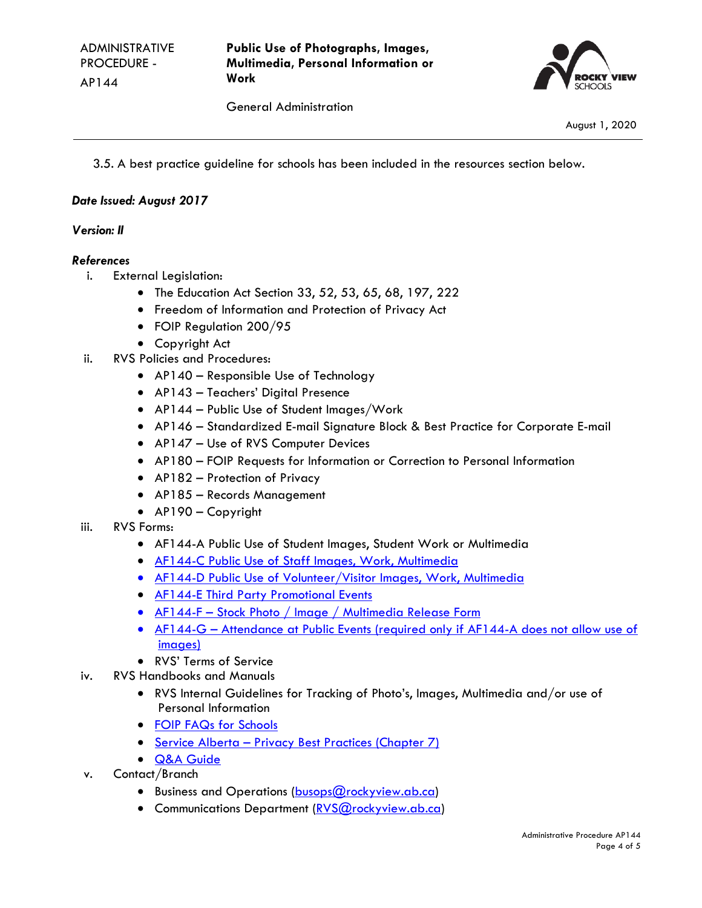

General Administration

August 1, 2020

3.5. A best practice guideline for schools has been included in the resources section below.

## *Date Issued: August 2017*

## *Version: II*

#### *References*

- i. External Legislation:
	- The Education Act Section 33, 52, 53, 65, 68, 197, 222
	- Freedom of Information and Protection of Privacy Act
	- FOIP Regulation 200/95
	- Copyright Act
- ii. RVS Policies and Procedures:
	- AP140 Responsible Use of Technology
	- AP143 Teachers' Digital Presence
	- AP144 Public Use of Student Images/Work
	- AP146 Standardized E-mail Signature Block & Best Practice for Corporate E-mail
	- AP147 Use of RVS Computer Devices
	- AP180 FOIP Requests for Information or Correction to Personal Information
	- AP182 Protection of Privacy
	- AP185 Records Management
	- AP190 Copyright
- iii. RVS Forms:
	- AF144-A Public Use of Student Images, Student Work or Multimedia
	- [AF144-C Public Use of Staff Images, Work, Multimedia](https://ab05.atrieveerp.com/rockyview/login.aspx?ReturnUrl=%2frockyview%2fHome.aspx)
	- [AF144-D Public Use of Volunteer/Visitor Images, Work, Multimedia](https://www.rockyview.ab.ca/staff/forms/FOIP_RecordsManagement/af144-d-public-use-of-volunteer-visitor-images-work-multimedia/view)
	- [AF144-E Third Party Promotional Events](https://www.rockyview.ab.ca/staff/forms/FOIP_RecordsManagement/af144-e_consent-third-party-promotional-events/view)
	- AF144-F [Stock Photo / Image / Multimedia Release Form](https://www.rockyview.ab.ca/staff/forms/FOIP_RecordsManagement/af144-f-stock-photo-image-multimedia-release-form/view)
	- AF144-G Attendance at Public Events (required only if AF144-A does not allow use of [images\)](https://www.rockyview.ab.ca/staff/forms/FOIP_RecordsManagement/af144-g-attendance-at-public-events-required-only-if-af144-a-does-not-allow-use-of-images/view)
	- RVS' Terms of Service
- iv. RVS Handbooks and Manuals
	- RVS Internal Guidelines for Tracking of Photo's, Images, Multimedia and/or use of Personal Information
	- [FOIP FAQs for Schools](https://www.rockyview.ab.ca/publications/assets_publications/handbooks/foip-faqs)
	- Service Alberta [Privacy Best Practices \(Chapter 7\)](http://servicealberta.gov.ab.ca/foip/documents/chapter7.pdf)
	- Q&A Guide
- v. Contact/Branch
	- Business and Operations [\(busops@rockyview.ab.ca\)](mailto:busops@rockyview.ab.ca)
	- Communications Department [\(RVS@rockyview.ab.ca\)](mailto:RVS@rockyview.ab.ca)